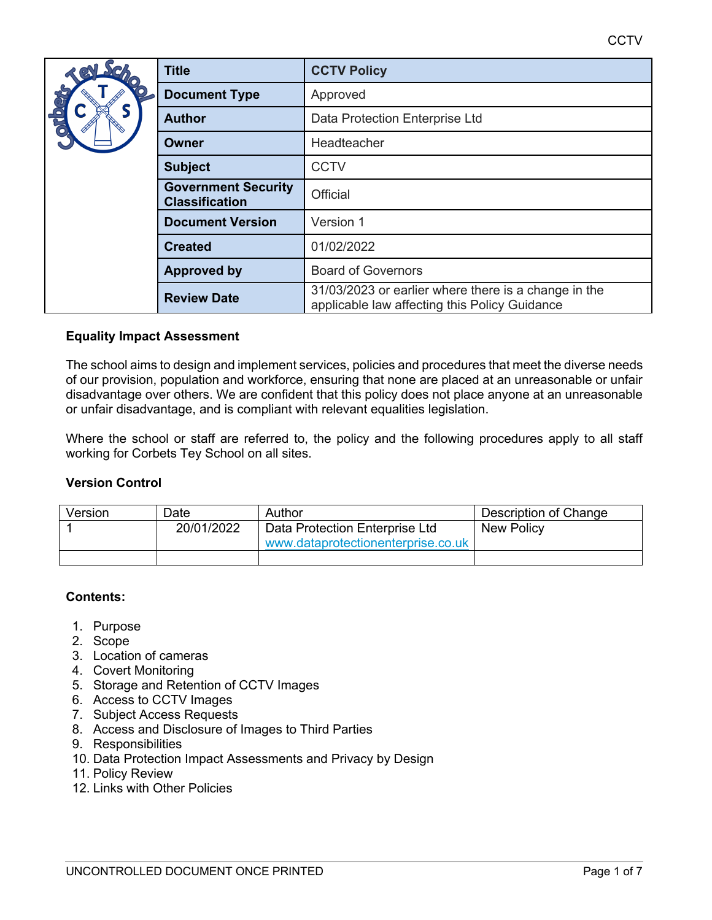**CCTV** 

|                                      | <b>Title</b>                                        | <b>CCTV Policy</b>                                                                                    |  |
|--------------------------------------|-----------------------------------------------------|-------------------------------------------------------------------------------------------------------|--|
| <b>Sque</b>                          | <b>Document Type</b>                                | Approved                                                                                              |  |
|                                      | <b>Author</b>                                       | Data Protection Enterprise Ltd                                                                        |  |
|                                      | Owner                                               | Headteacher                                                                                           |  |
|                                      | <b>Subject</b>                                      | <b>CCTV</b>                                                                                           |  |
|                                      | <b>Government Security</b><br><b>Classification</b> | Official                                                                                              |  |
| <b>Document Version</b><br>Version 1 |                                                     |                                                                                                       |  |
|                                      | <b>Created</b>                                      | 01/02/2022                                                                                            |  |
|                                      | <b>Approved by</b>                                  | <b>Board of Governors</b>                                                                             |  |
|                                      | <b>Review Date</b>                                  | 31/03/2023 or earlier where there is a change in the<br>applicable law affecting this Policy Guidance |  |

# **Equality Impact Assessment**

The school aims to design and implement services, policies and procedures that meet the diverse needs of our provision, population and workforce, ensuring that none are placed at an unreasonable or unfair disadvantage over others. We are confident that this policy does not place anyone at an unreasonable or unfair disadvantage, and is compliant with relevant equalities legislation.

Where the school or staff are referred to, the policy and the following procedures apply to all staff working for Corbets Tey School on all sites.

#### **Version Control**

| Version | Date       | Author                             | Description of Change |
|---------|------------|------------------------------------|-----------------------|
|         | 20/01/2022 | Data Protection Enterprise Ltd     | New Policy            |
|         |            | www.dataprotectionenterprise.co.uk |                       |
|         |            |                                    |                       |

#### **Contents:**

- 1. Purpose
- 2. Scope
- 3. Location of cameras
- 4. Covert Monitoring
- 5. Storage and Retention of CCTV Images
- 6. Access to CCTV Images
- 7. Subject Access Requests
- 8. Access and Disclosure of Images to Third Parties
- 9. Responsibilities
- 10. Data Protection Impact Assessments and Privacy by Design
- 11. Policy Review
- 12. Links with Other Policies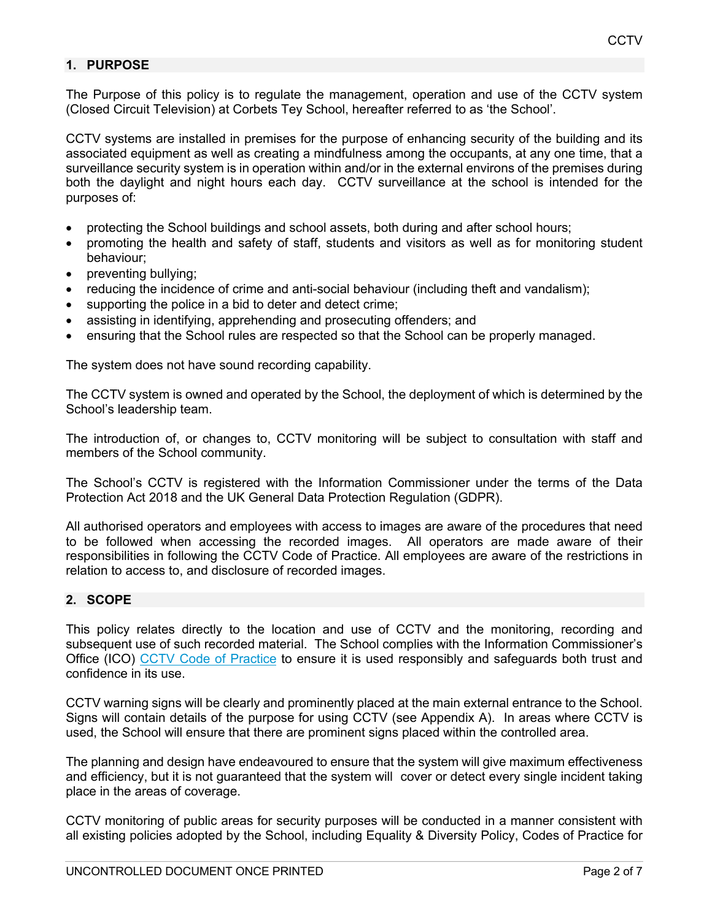# **1. PURPOSE**

The Purpose of this policy is to regulate the management, operation and use of the CCTV system (Closed Circuit Television) at Corbets Tey School, hereafter referred to as 'the School'.

CCTV systems are installed in premises for the purpose of enhancing security of the building and its associated equipment as well as creating a mindfulness among the occupants, at any one time, that a surveillance security system is in operation within and/or in the external environs of the premises during both the daylight and night hours each day. CCTV surveillance at the school is intended for the purposes of:

- protecting the School buildings and school assets, both during and after school hours;
- promoting the health and safety of staff, students and visitors as well as for monitoring student behaviour;
- preventing bullying;
- reducing the incidence of crime and anti-social behaviour (including theft and vandalism);
- supporting the police in a bid to deter and detect crime;
- assisting in identifying, apprehending and prosecuting offenders; and
- ensuring that the School rules are respected so that the School can be properly managed.

The system does not have sound recording capability.

The CCTV system is owned and operated by the School, the deployment of which is determined by the School's leadership team.

The introduction of, or changes to, CCTV monitoring will be subject to consultation with staff and members of the School community.

The School's CCTV is registered with the Information Commissioner under the terms of the Data Protection Act 2018 and the UK General Data Protection Regulation (GDPR).

All authorised operators and employees with access to images are aware of the procedures that need to be followed when accessing the recorded images. All operators are made aware of their responsibilities in following the CCTV Code of Practice. All employees are aware of the restrictions in relation to access to, and disclosure of recorded images.

#### **2. SCOPE**

This policy relates directly to the location and use of CCTV and the monitoring, recording and subsequent use of such recorded material. The School complies with the Information Commissioner's Office (ICO) CCTV Code of Practice to ensure it is used responsibly and safeguards both trust and confidence in its use.

CCTV warning signs will be clearly and prominently placed at the main external entrance to the School. Signs will contain details of the purpose for using CCTV (see Appendix A). In areas where CCTV is used, the School will ensure that there are prominent signs placed within the controlled area.

The planning and design have endeavoured to ensure that the system will give maximum effectiveness and efficiency, but it is not guaranteed that the system will cover or detect every single incident taking place in the areas of coverage.

CCTV monitoring of public areas for security purposes will be conducted in a manner consistent with all existing policies adopted by the School, including Equality & Diversity Policy, Codes of Practice for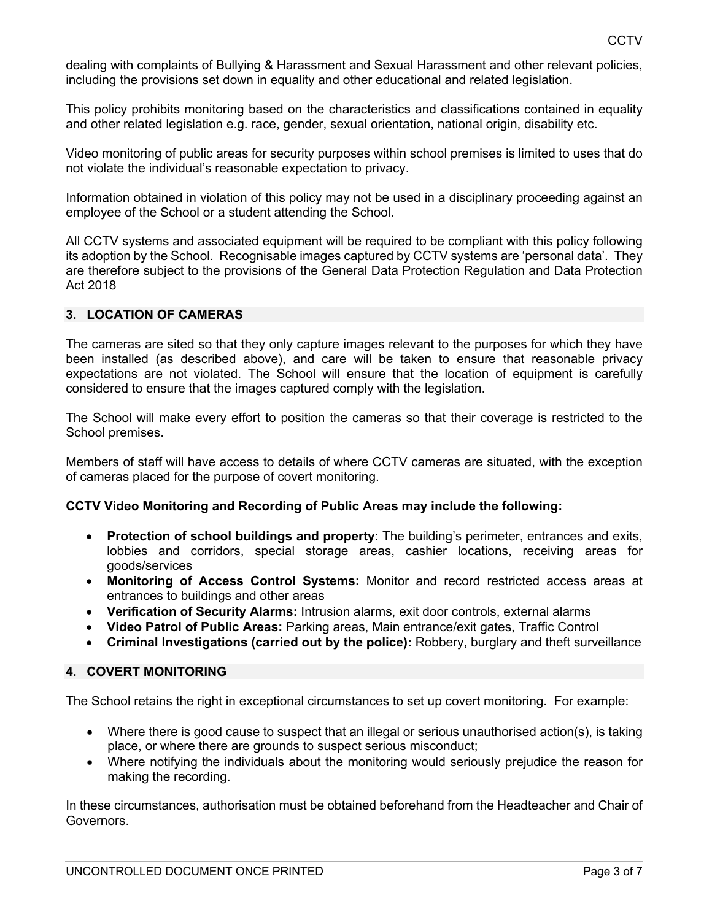dealing with complaints of Bullying & Harassment and Sexual Harassment and other relevant policies, including the provisions set down in equality and other educational and related legislation.

This policy prohibits monitoring based on the characteristics and classifications contained in equality and other related legislation e.g. race, gender, sexual orientation, national origin, disability etc.

Video monitoring of public areas for security purposes within school premises is limited to uses that do not violate the individual's reasonable expectation to privacy.

Information obtained in violation of this policy may not be used in a disciplinary proceeding against an employee of the School or a student attending the School.

All CCTV systems and associated equipment will be required to be compliant with this policy following its adoption by the School. Recognisable images captured by CCTV systems are 'personal data'. They are therefore subject to the provisions of the General Data Protection Regulation and Data Protection Act 2018

# **3. LOCATION OF CAMERAS**

The cameras are sited so that they only capture images relevant to the purposes for which they have been installed (as described above), and care will be taken to ensure that reasonable privacy expectations are not violated. The School will ensure that the location of equipment is carefully considered to ensure that the images captured comply with the legislation.

The School will make every effort to position the cameras so that their coverage is restricted to the School premises.

Members of staff will have access to details of where CCTV cameras are situated, with the exception of cameras placed for the purpose of covert monitoring.

#### **CCTV Video Monitoring and Recording of Public Areas may include the following:**

- **Protection of school buildings and property**: The building's perimeter, entrances and exits, lobbies and corridors, special storage areas, cashier locations, receiving areas for goods/services
- **Monitoring of Access Control Systems:** Monitor and record restricted access areas at entrances to buildings and other areas
- **Verification of Security Alarms:** Intrusion alarms, exit door controls, external alarms
- **Video Patrol of Public Areas:** Parking areas, Main entrance/exit gates, Traffic Control
- **Criminal Investigations (carried out by the police):** Robbery, burglary and theft surveillance

# **4. COVERT MONITORING**

The School retains the right in exceptional circumstances to set up covert monitoring. For example:

- Where there is good cause to suspect that an illegal or serious unauthorised action(s), is taking place, or where there are grounds to suspect serious misconduct;
- Where notifying the individuals about the monitoring would seriously prejudice the reason for making the recording.

In these circumstances, authorisation must be obtained beforehand from the Headteacher and Chair of Governors.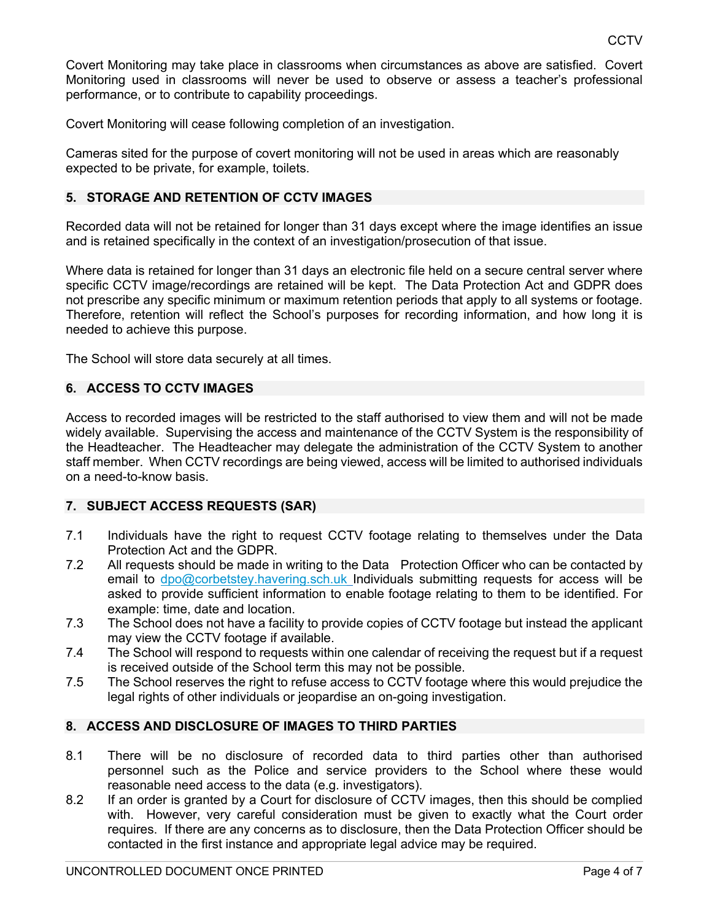Covert Monitoring may take place in classrooms when circumstances as above are satisfied. Covert Monitoring used in classrooms will never be used to observe or assess a teacher's professional performance, or to contribute to capability proceedings.

Covert Monitoring will cease following completion of an investigation.

Cameras sited for the purpose of covert monitoring will not be used in areas which are reasonably expected to be private, for example, toilets.

#### **5. STORAGE AND RETENTION OF CCTV IMAGES**

Recorded data will not be retained for longer than 31 days except where the image identifies an issue and is retained specifically in the context of an investigation/prosecution of that issue.

Where data is retained for longer than 31 days an electronic file held on a secure central server where specific CCTV image/recordings are retained will be kept. The Data Protection Act and GDPR does not prescribe any specific minimum or maximum retention periods that apply to all systems or footage. Therefore, retention will reflect the School's purposes for recording information, and how long it is needed to achieve this purpose.

The School will store data securely at all times.

# **6. ACCESS TO CCTV IMAGES**

Access to recorded images will be restricted to the staff authorised to view them and will not be made widely available. Supervising the access and maintenance of the CCTV System is the responsibility of the Headteacher. The Headteacher may delegate the administration of the CCTV System to another staff member. When CCTV recordings are being viewed, access will be limited to authorised individuals on a need-to-know basis.

#### **7. SUBJECT ACCESS REQUESTS (SAR)**

- 7.1 Individuals have the right to request CCTV footage relating to themselves under the Data Protection Act and the GDPR.
- 7.2 All requests should be made in writing to the Data Protection Officer who can be contacted by email to dpo@corbetstey.havering.sch.uk Individuals submitting requests for access will be asked to provide sufficient information to enable footage relating to them to be identified. For example: time, date and location.
- 7.3 The School does not have a facility to provide copies of CCTV footage but instead the applicant may view the CCTV footage if available.
- 7.4 The School will respond to requests within one calendar of receiving the request but if a request is received outside of the School term this may not be possible.
- 7.5 The School reserves the right to refuse access to CCTV footage where this would prejudice the legal rights of other individuals or jeopardise an on-going investigation.

#### **8. ACCESS AND DISCLOSURE OF IMAGES TO THIRD PARTIES**

- 8.1 There will be no disclosure of recorded data to third parties other than authorised personnel such as the Police and service providers to the School where these would reasonable need access to the data (e.g. investigators).
- 8.2 If an order is granted by a Court for disclosure of CCTV images, then this should be complied with. However, very careful consideration must be given to exactly what the Court order requires. If there are any concerns as to disclosure, then the Data Protection Officer should be contacted in the first instance and appropriate legal advice may be required.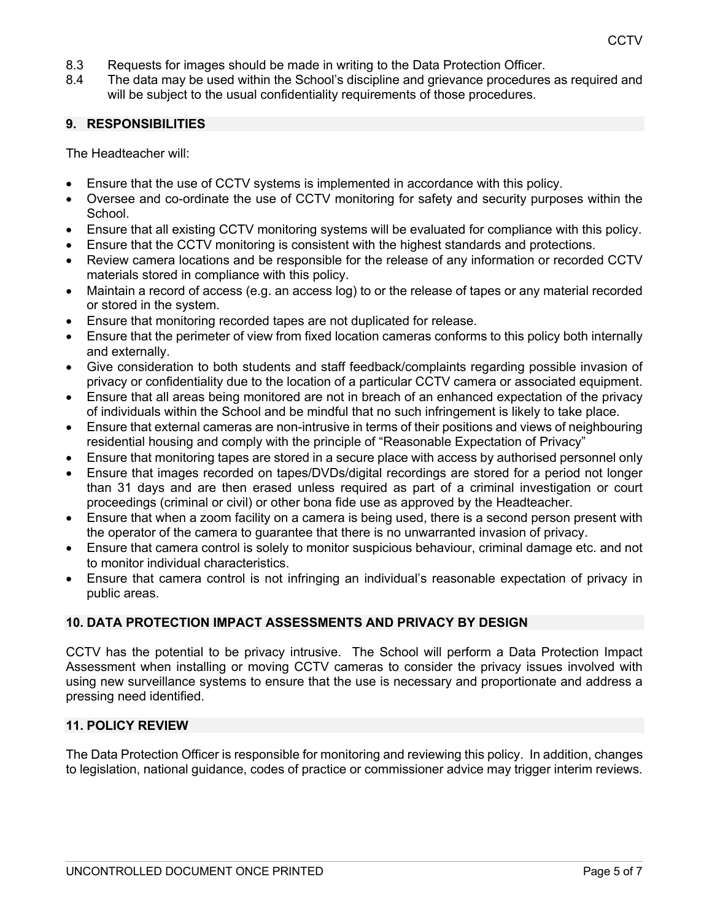- 8.3 Requests for images should be made in writing to the Data Protection Officer.
- 8.4 The data may be used within the School's discipline and grievance procedures as required and will be subject to the usual confidentiality requirements of those procedures.

#### **9. RESPONSIBILITIES**

The Headteacher will:

- Ensure that the use of CCTV systems is implemented in accordance with this policy.
- Oversee and co-ordinate the use of CCTV monitoring for safety and security purposes within the School.
- Ensure that all existing CCTV monitoring systems will be evaluated for compliance with this policy.
- Ensure that the CCTV monitoring is consistent with the highest standards and protections.
- Review camera locations and be responsible for the release of any information or recorded CCTV materials stored in compliance with this policy.
- Maintain a record of access (e.g. an access log) to or the release of tapes or any material recorded or stored in the system.
- Ensure that monitoring recorded tapes are not duplicated for release.
- Ensure that the perimeter of view from fixed location cameras conforms to this policy both internally and externally.
- Give consideration to both students and staff feedback/complaints regarding possible invasion of privacy or confidentiality due to the location of a particular CCTV camera or associated equipment.
- Ensure that all areas being monitored are not in breach of an enhanced expectation of the privacy of individuals within the School and be mindful that no such infringement is likely to take place.
- Ensure that external cameras are non-intrusive in terms of their positions and views of neighbouring residential housing and comply with the principle of "Reasonable Expectation of Privacy"
- Ensure that monitoring tapes are stored in a secure place with access by authorised personnel only
- Ensure that images recorded on tapes/DVDs/digital recordings are stored for a period not longer than 31 days and are then erased unless required as part of a criminal investigation or court proceedings (criminal or civil) or other bona fide use as approved by the Headteacher.
- Ensure that when a zoom facility on a camera is being used, there is a second person present with the operator of the camera to guarantee that there is no unwarranted invasion of privacy.
- Ensure that camera control is solely to monitor suspicious behaviour, criminal damage etc. and not to monitor individual characteristics.
- Ensure that camera control is not infringing an individual's reasonable expectation of privacy in public areas.

# **10. DATA PROTECTION IMPACT ASSESSMENTS AND PRIVACY BY DESIGN**

CCTV has the potential to be privacy intrusive. The School will perform a Data Protection Impact Assessment when installing or moving CCTV cameras to consider the privacy issues involved with using new surveillance systems to ensure that the use is necessary and proportionate and address a pressing need identified.

# **11. POLICY REVIEW**

The Data Protection Officer is responsible for monitoring and reviewing this policy. In addition, changes to legislation, national guidance, codes of practice or commissioner advice may trigger interim reviews.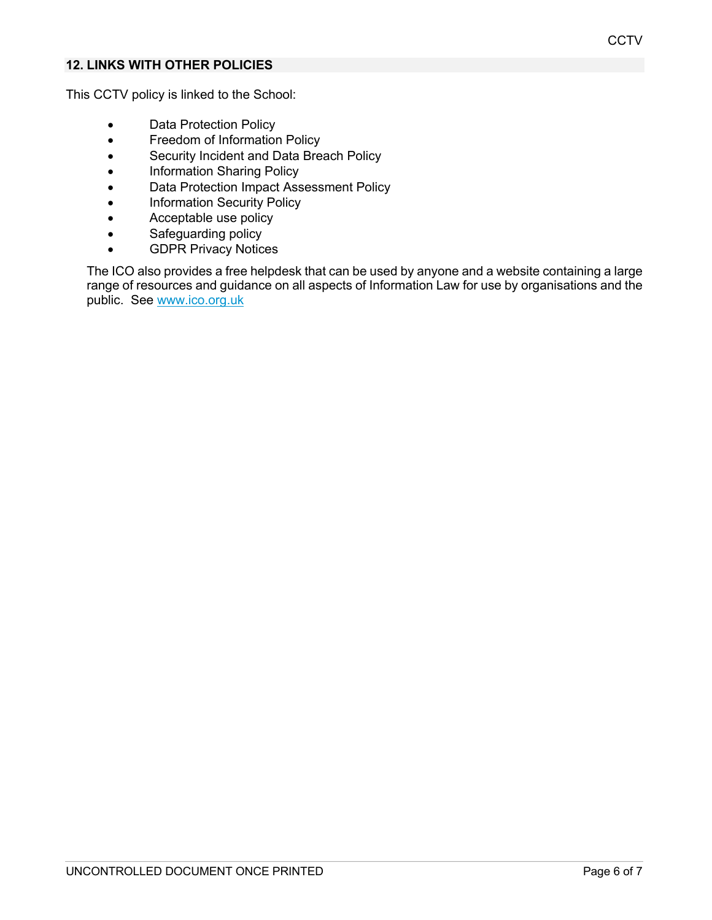# **12. LINKS WITH OTHER POLICIES**

This CCTV policy is linked to the School:

- Data Protection Policy
- Freedom of Information Policy
- Security Incident and Data Breach Policy
- Information Sharing Policy
- Data Protection Impact Assessment Policy
- Information Security Policy
- Acceptable use policy
- Safeguarding policy
- GDPR Privacy Notices

The ICO also provides a free helpdesk that can be used by anyone and a website containing a large range of resources and guidance on all aspects of Information Law for use by organisations and the public. See www.ico.org.uk